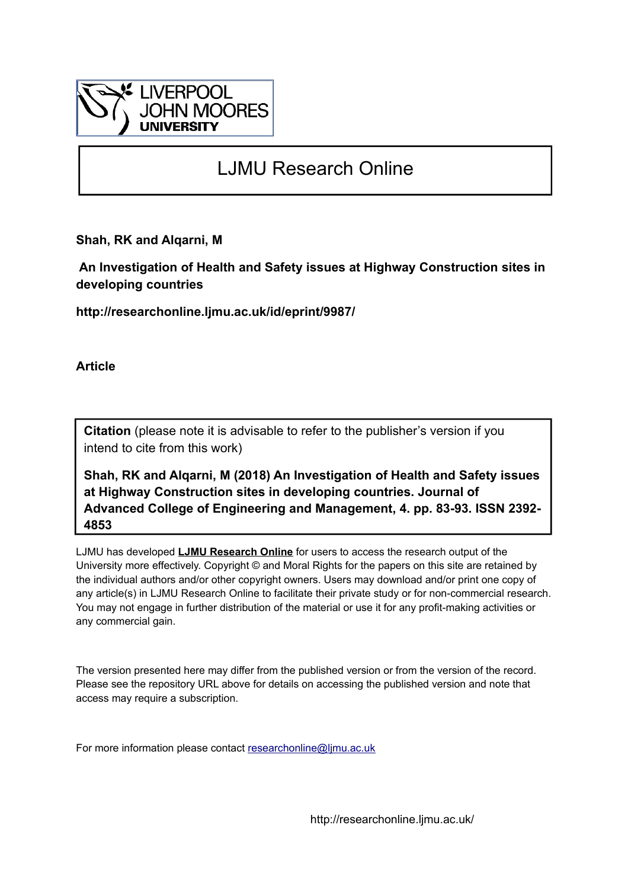

# LJMU Research Online

**Shah, RK and Alqarni, M**

 **An Investigation of Health and Safety issues at Highway Construction sites in developing countries**

**http://researchonline.ljmu.ac.uk/id/eprint/9987/**

**Article**

**Citation** (please note it is advisable to refer to the publisher's version if you intend to cite from this work)

**Shah, RK and Alqarni, M (2018) An Investigation of Health and Safety issues at Highway Construction sites in developing countries. Journal of Advanced College of Engineering and Management, 4. pp. 83-93. ISSN 2392- 4853** 

LJMU has developed **[LJMU Research Online](http://researchonline.ljmu.ac.uk/)** for users to access the research output of the University more effectively. Copyright © and Moral Rights for the papers on this site are retained by the individual authors and/or other copyright owners. Users may download and/or print one copy of any article(s) in LJMU Research Online to facilitate their private study or for non-commercial research. You may not engage in further distribution of the material or use it for any profit-making activities or any commercial gain.

The version presented here may differ from the published version or from the version of the record. Please see the repository URL above for details on accessing the published version and note that access may require a subscription.

For more information please contact [researchonline@ljmu.ac.uk](mailto:researchonline@ljmu.ac.uk)

http://researchonline.ljmu.ac.uk/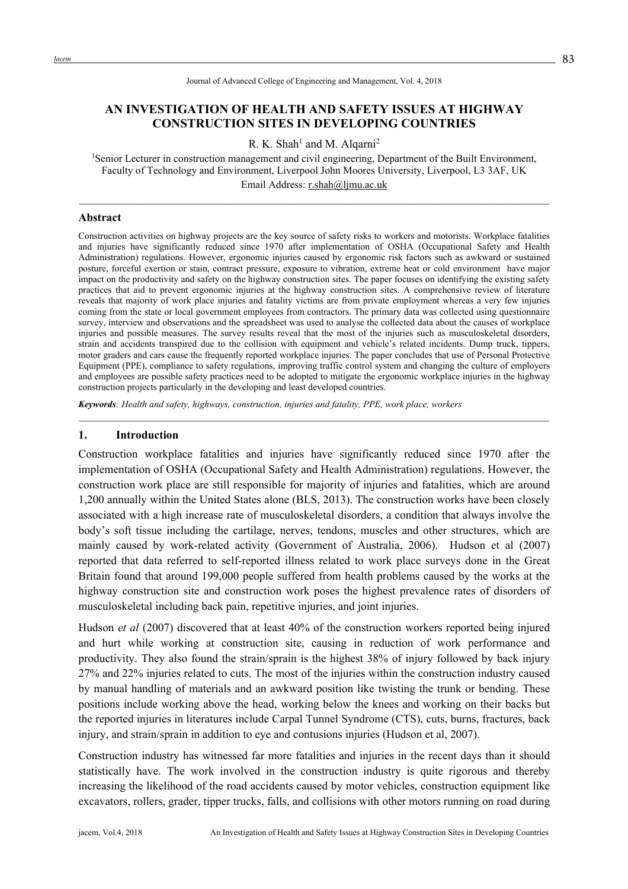#### Journal of Advanced College of Engineering and Management, Vol. 4, 2018

## **AN INVESTIGATION OF HEALTH AND SAFETY ISSUES AT HIGHWAY CONSTRUCTION SITES IN DEVELOPING COUNTRIES**

R. K. Shah<sup>1</sup> and M. Alqarni<sup>2</sup>

<sup>1</sup>Senior Lecturer in construction management and civil engineering, Department of the Built Environment, Faculty of Technology and Environment, Liverpool John Moores University, Liverpool, L3 3AF, UK Email Address: r.shah@ljmu.ac.uk

 $\mathcal{L}_\text{max}$ 

#### **Abstract**

Construction activities on highway projects are the key source of safety risks to workers and motorists. Workplace fatalities and injuries have significantly reduced since 1970 after implementation of OSHA (Occupational Safety and Health Administration) regulations. However, ergonomic injuries caused by ergonomic risk factors such as awkward or sustained posture, forceful exertion or stain, contract pressure, exposure to vibration, extreme heat or cold environment have major impact on the productivity and safety on the highway construction sites. The paper focuses on identifying the existing safety practices that aid to prevent ergonomic injuries at the highway construction sites. A comprehensive review of literature reveals that majority of work place injuries and fatality victims are from private employment whereas a very few injuries coming from the state or local government employees from contractors. The primary data was collected using questionnaire survey, interview and observations and the spreadsheet was used to analyse the collected data about the causes of workplace injuries and possible measures. The survey results reveal that the most of the injuries such as musculoskeletal disorders, strain and accidents transpired due to the collision with equipment and vehicle's related incidents. Dump truck, tippers, motor graders and cars cause the frequently reported workplace injuries. The paper concludes that use of Personal Protective Equipment (PPE), compliance to safety regulations, improving traffic control system and changing the culture of employers and employees are possible safety practices need to be adopted to mitigate the ergonomic workplace injuries in the highway construction projects particularly in the developing and least developed countries.

*Keywords: Health and safety, highways, construction, injuries and fatality, PPE, work place, workers*

#### **1. Introduction**

Construction workplace fatalities and injuries have significantly reduced since 1970 after the implementation of OSHA (Occupational Safety and Health Administration) regulations. However, the construction work place are still responsible for majority of injuries and fatalities, which are around 1,200 annually within the United States alone (BLS, 2013). The construction works have been closely associated with a high increase rate of musculoskeletal disorders, a condition that always involve the body's soft tissue including the cartilage, nerves, tendons, muscles and other structures, which are mainly caused by work-related activity (Government of Australia, 2006). Hudson et al (2007) reported that data referred to self-reported illness related to work place surveys done in the Great Britain found that around 199,000 people suffered from health problems caused by the works at the highway construction site and construction work poses the highest prevalence rates of disorders of musculoskeletal including back pain, repetitive injuries, and joint injuries.

Hudson *et al* (2007) discovered that at least 40% of the construction workers reported being injured and hurt while working at construction site, causing in reduction of work performance and productivity. They also found the strain/sprain is the highest 38% of injury followed by back injury 27% and 22% injuries related to cuts. The most of the injuries within the construction industry caused by manual handling of materials and an awkward position like twisting the trunk or bending. These positions include working above the head, working below the knees and working on their backs but the reported injuries in literatures include Carpal Tunnel Syndrome (CTS), cuts, burns, fractures, back injury, and strain/sprain in addition to eye and contusions injuries (Hudson et al. 2007).

Construction industry has witnessed far more fatalities and injuries in the recent days than it should statistically have. The work involved in the construction industry is quite rigorous and thereby increasing the likelihood of the road accidents caused by motor vehicles, construction equipment like excavators, rollers, grader, tipper trucks, falls, and collisions with other motors running on road during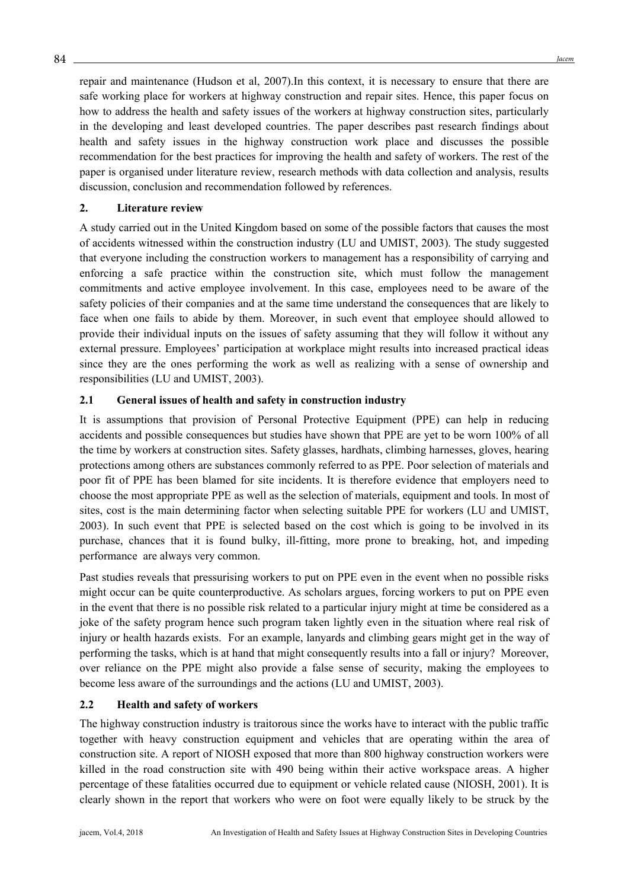repair and maintenance (Hudson et al, 2007).In this context, it is necessary to ensure that there are safe working place for workers at highway construction and repair sites. Hence, this paper focus on how to address the health and safety issues of the workers at highway construction sites, particularly in the developing and least developed countries. The paper describes past research findings about health and safety issues in the highway construction work place and discusses the possible recommendation for the best practices for improving the health and safety of workers. The rest of the paper is organised under literature review, research methods with data collection and analysis, results discussion, conclusion and recommendation followed by references.

#### **2. Literature review**

A study carried out in the United Kingdom based on some of the possible factors that causes the most of accidents witnessed within the construction industry (LU and UMIST, 2003). The study suggested that everyone including the construction workers to management has a responsibility of carrying and enforcing a safe practice within the construction site, which must follow the management commitments and active employee involvement. In this case, employees need to be aware of the safety policies of their companies and at the same time understand the consequences that are likely to face when one fails to abide by them. Moreover, in such event that employee should allowed to provide their individual inputs on the issues of safety assuming that they will follow it without any external pressure. Employees' participation at workplace might results into increased practical ideas since they are the ones performing the work as well as realizing with a sense of ownership and responsibilities (LU and UMIST, 2003).

# **2.1 General issues of health and safety in construction industry**

It is assumptions that provision of Personal Protective Equipment (PPE) can help in reducing accidents and possible consequences but studies have shown that PPE are yet to be worn 100% of all the time by workers at construction sites. Safety glasses, hardhats, climbing harnesses, gloves, hearing protections among others are substances commonly referred to as PPE. Poor selection of materials and poor fit of PPE has been blamed for site incidents. It is therefore evidence that employers need to choose the most appropriate PPE as well as the selection of materials, equipment and tools. In most of sites, cost is the main determining factor when selecting suitable PPE for workers (LU and UMIST, 2003). In such event that PPE is selected based on the cost which is going to be involved in its purchase, chances that it is found bulky, ill-fitting, more prone to breaking, hot, and impeding performance are always very common.

Past studies reveals that pressurising workers to put on PPE even in the event when no possible risks might occur can be quite counterproductive. As scholars argues, forcing workers to put on PPE even in the event that there is no possible risk related to a particular injury might at time be considered as a joke of the safety program hence such program taken lightly even in the situation where real risk of injury or health hazards exists. For an example, lanyards and climbing gears might get in the way of performing the tasks, which is at hand that might consequently results into a fall or injury? Moreover, over reliance on the PPE might also provide a false sense of security, making the employees to become less aware of the surroundings and the actions (LU and UMIST, 2003).

# **2.2 Health and safety of workers**

The highway construction industry is traitorous since the works have to interact with the public traffic together with heavy construction equipment and vehicles that are operating within the area of construction site. A report of NIOSH exposed that more than 800 highway construction workers were killed in the road construction site with 490 being within their active workspace areas. A higher percentage of these fatalities occurred due to equipment or vehicle related cause (NIOSH, 2001). It is clearly shown in the report that workers who were on foot were equally likely to be struck by the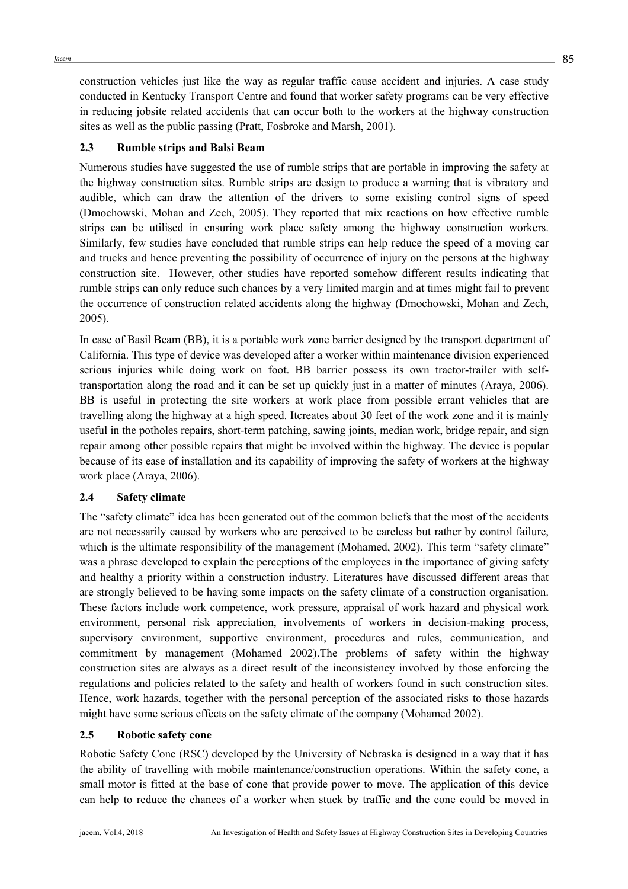construction vehicles just like the way as regular traffic cause accident and injuries. A case study conducted in Kentucky Transport Centre and found that worker safety programs can be very effective in reducing jobsite related accidents that can occur both to the workers at the highway construction sites as well as the public passing (Pratt, Fosbroke and Marsh, 2001).

## **2.3 Rumble strips and Balsi Beam**

Numerous studies have suggested the use of rumble strips that are portable in improving the safety at the highway construction sites. Rumble strips are design to produce a warning that is vibratory and audible, which can draw the attention of the drivers to some existing control signs of speed (Dmochowski, Mohan and Zech, 2005). They reported that mix reactions on how effective rumble strips can be utilised in ensuring work place safety among the highway construction workers. Similarly, few studies have concluded that rumble strips can help reduce the speed of a moving car and trucks and hence preventing the possibility of occurrence of injury on the persons at the highway construction site. However, other studies have reported somehow different results indicating that rumble strips can only reduce such chances by a very limited margin and at times might fail to prevent the occurrence of construction related accidents along the highway (Dmochowski, Mohan and Zech, 2005).

In case of Basil Beam (BB), it is a portable work zone barrier designed by the transport department of California. This type of device was developed after a worker within maintenance division experienced serious injuries while doing work on foot. BB barrier possess its own tractor-trailer with selftransportation along the road and it can be set up quickly just in a matter of minutes (Araya, 2006). BB is useful in protecting the site workers at work place from possible errant vehicles that are travelling along the highway at a high speed. Itcreates about 30 feet of the work zone and it is mainly useful in the potholes repairs, short-term patching, sawing joints, median work, bridge repair, and sign repair among other possible repairs that might be involved within the highway. The device is popular because of its ease of installation and its capability of improving the safety of workers at the highway work place (Araya, 2006).

#### **2.4 Safety climate**

The "safety climate" idea has been generated out of the common beliefs that the most of the accidents are not necessarily caused by workers who are perceived to be careless but rather by control failure, which is the ultimate responsibility of the management (Mohamed, 2002). This term "safety climate" was a phrase developed to explain the perceptions of the employees in the importance of giving safety and healthy a priority within a construction industry. Literatures have discussed different areas that are strongly believed to be having some impacts on the safety climate of a construction organisation. These factors include work competence, work pressure, appraisal of work hazard and physical work environment, personal risk appreciation, involvements of workers in decision-making process, supervisory environment, supportive environment, procedures and rules, communication, and commitment by management (Mohamed 2002).The problems of safety within the highway construction sites are always as a direct result of the inconsistency involved by those enforcing the regulations and policies related to the safety and health of workers found in such construction sites. Hence, work hazards, together with the personal perception of the associated risks to those hazards might have some serious effects on the safety climate of the company (Mohamed 2002).

#### **2.5 Robotic safety cone**

Robotic Safety Cone (RSC) developed by the University of Nebraska is designed in a way that it has the ability of travelling with mobile maintenance/construction operations. Within the safety cone, a small motor is fitted at the base of cone that provide power to move. The application of this device can help to reduce the chances of a worker when stuck by traffic and the cone could be moved in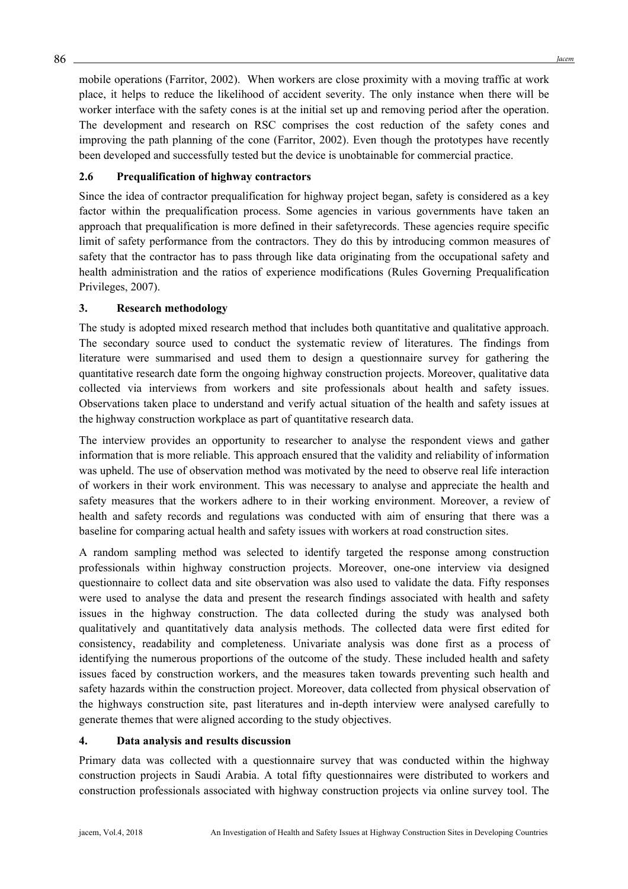mobile operations (Farritor, 2002). When workers are close proximity with a moving traffic at work place, it helps to reduce the likelihood of accident severity. The only instance when there will be worker interface with the safety cones is at the initial set up and removing period after the operation. The development and research on RSC comprises the cost reduction of the safety cones and improving the path planning of the cone (Farritor, 2002). Even though the prototypes have recently been developed and successfully tested but the device is unobtainable for commercial practice.

# **2.6 Prequalification of highway contractors**

Since the idea of contractor prequalification for highway project began, safety is considered as a key factor within the prequalification process. Some agencies in various governments have taken an approach that prequalification is more defined in their safetyrecords. These agencies require specific limit of safety performance from the contractors. They do this by introducing common measures of safety that the contractor has to pass through like data originating from the occupational safety and health administration and the ratios of experience modifications (Rules Governing Prequalification Privileges, 2007).

#### **3. Research methodology**

The study is adopted mixed research method that includes both quantitative and qualitative approach. The secondary source used to conduct the systematic review of literatures. The findings from literature were summarised and used them to design a questionnaire survey for gathering the quantitative research date form the ongoing highway construction projects. Moreover, qualitative data collected via interviews from workers and site professionals about health and safety issues. Observations taken place to understand and verify actual situation of the health and safety issues at the highway construction workplace as part of quantitative research data.

The interview provides an opportunity to researcher to analyse the respondent views and gather information that is more reliable. This approach ensured that the validity and reliability of information was upheld. The use of observation method was motivated by the need to observe real life interaction of workers in their work environment. This was necessary to analyse and appreciate the health and safety measures that the workers adhere to in their working environment. Moreover, a review of health and safety records and regulations was conducted with aim of ensuring that there was a baseline for comparing actual health and safety issues with workers at road construction sites.

A random sampling method was selected to identify targeted the response among construction professionals within highway construction projects. Moreover, one-one interview via designed questionnaire to collect data and site observation was also used to validate the data. Fifty responses were used to analyse the data and present the research findings associated with health and safety issues in the highway construction. The data collected during the study was analysed both qualitatively and quantitatively data analysis methods. The collected data were first edited for consistency, readability and completeness. Univariate analysis was done first as a process of identifying the numerous proportions of the outcome of the study. These included health and safety issues faced by construction workers, and the measures taken towards preventing such health and safety hazards within the construction project. Moreover, data collected from physical observation of the highways construction site, past literatures and in-depth interview were analysed carefully to generate themes that were aligned according to the study objectives.

#### **4. Data analysis and results discussion**

Primary data was collected with a questionnaire survey that was conducted within the highway construction projects in Saudi Arabia. A total fifty questionnaires were distributed to workers and construction professionals associated with highway construction projects via online survey tool. The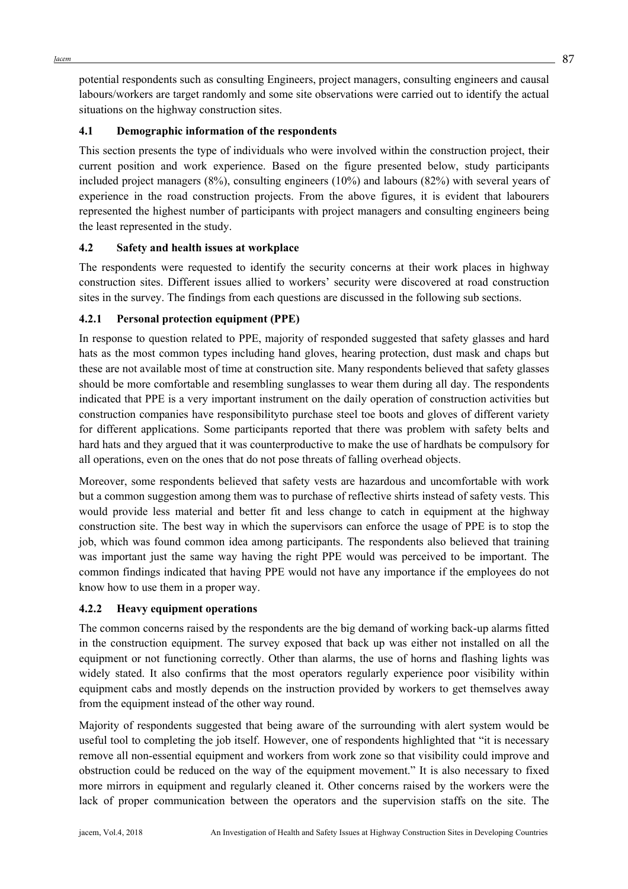$Jacem$   $87$ 

potential respondents such as consulting Engineers, project managers, consulting engineers and causal labours/workers are target randomly and some site observations were carried out to identify the actual situations on the highway construction sites.

## **4.1 Demographic information of the respondents**

This section presents the type of individuals who were involved within the construction project, their current position and work experience. Based on the figure presented below, study participants included project managers (8%), consulting engineers (10%) and labours (82%) with several years of experience in the road construction projects. From the above figures, it is evident that labourers represented the highest number of participants with project managers and consulting engineers being the least represented in the study.

# **4.2 Safety and health issues at workplace**

The respondents were requested to identify the security concerns at their work places in highway construction sites. Different issues allied to workers' security were discovered at road construction sites in the survey. The findings from each questions are discussed in the following sub sections.

# **4.2.1 Personal protection equipment (PPE)**

In response to question related to PPE, majority of responded suggested that safety glasses and hard hats as the most common types including hand gloves, hearing protection, dust mask and chaps but these are not available most of time at construction site. Many respondents believed that safety glasses should be more comfortable and resembling sunglasses to wear them during all day. The respondents indicated that PPE is a very important instrument on the daily operation of construction activities but construction companies have responsibilityto purchase steel toe boots and gloves of different variety for different applications. Some participants reported that there was problem with safety belts and hard hats and they argued that it was counterproductive to make the use of hardhats be compulsory for all operations, even on the ones that do not pose threats of falling overhead objects.

Moreover, some respondents believed that safety vests are hazardous and uncomfortable with work but a common suggestion among them was to purchase of reflective shirts instead of safety vests. This would provide less material and better fit and less change to catch in equipment at the highway construction site. The best way in which the supervisors can enforce the usage of PPE is to stop the job, which was found common idea among participants. The respondents also believed that training was important just the same way having the right PPE would was perceived to be important. The common findings indicated that having PPE would not have any importance if the employees do not know how to use them in a proper way.

#### **4.2.2 Heavy equipment operations**

The common concerns raised by the respondents are the big demand of working back-up alarms fitted in the construction equipment. The survey exposed that back up was either not installed on all the equipment or not functioning correctly. Other than alarms, the use of horns and flashing lights was widely stated. It also confirms that the most operators regularly experience poor visibility within equipment cabs and mostly depends on the instruction provided by workers to get themselves away from the equipment instead of the other way round.

Majority of respondents suggested that being aware of the surrounding with alert system would be useful tool to completing the job itself. However, one of respondents highlighted that "it is necessary remove all non-essential equipment and workers from work zone so that visibility could improve and obstruction could be reduced on the way of the equipment movement." It is also necessary to fixed more mirrors in equipment and regularly cleaned it. Other concerns raised by the workers were the lack of proper communication between the operators and the supervision staffs on the site. The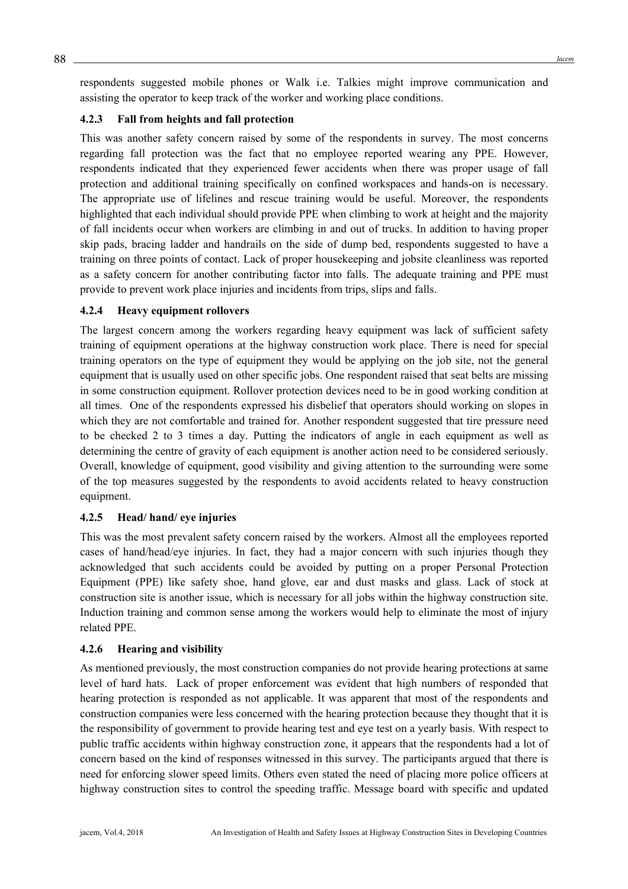respondents suggested mobile phones or Walk i.e. Talkies might improve communication and assisting the operator to keep track of the worker and working place conditions.

#### **4.2.3 Fall from heights and fall protection**

This was another safety concern raised by some of the respondents in survey. The most concerns regarding fall protection was the fact that no employee reported wearing any PPE. However, respondents indicated that they experienced fewer accidents when there was proper usage of fall protection and additional training specifically on confined workspaces and hands-on is necessary. The appropriate use of lifelines and rescue training would be useful. Moreover, the respondents highlighted that each individual should provide PPE when climbing to work at height and the majority of fall incidents occur when workers are climbing in and out of trucks. In addition to having proper skip pads, bracing ladder and handrails on the side of dump bed, respondents suggested to have a training on three points of contact. Lack of proper housekeeping and jobsite cleanliness was reported as a safety concern for another contributing factor into falls. The adequate training and PPE must provide to prevent work place injuries and incidents from trips, slips and falls.

#### **4.2.4 Heavy equipment rollovers**

The largest concern among the workers regarding heavy equipment was lack of sufficient safety training of equipment operations at the highway construction work place. There is need for special training operators on the type of equipment they would be applying on the job site, not the general equipment that is usually used on other specific jobs. One respondent raised that seat belts are missing in some construction equipment. Rollover protection devices need to be in good working condition at all times. One of the respondents expressed his disbelief that operators should working on slopes in which they are not comfortable and trained for. Another respondent suggested that tire pressure need to be checked 2 to 3 times a day. Putting the indicators of angle in each equipment as well as determining the centre of gravity of each equipment is another action need to be considered seriously. Overall, knowledge of equipment, good visibility and giving attention to the surrounding were some of the top measures suggested by the respondents to avoid accidents related to heavy construction equipment.

#### **4.2.5 Head/ hand/ eye injuries**

This was the most prevalent safety concern raised by the workers. Almost all the employees reported cases of hand/head/eye injuries. In fact, they had a major concern with such injuries though they acknowledged that such accidents could be avoided by putting on a proper Personal Protection Equipment (PPE) like safety shoe, hand glove, ear and dust masks and glass. Lack of stock at construction site is another issue, which is necessary for all jobs within the highway construction site. Induction training and common sense among the workers would help to eliminate the most of injury related PPE.

#### **4.2.6 Hearing and visibility**

As mentioned previously, the most construction companies do not provide hearing protections at same level of hard hats. Lack of proper enforcement was evident that high numbers of responded that hearing protection is responded as not applicable. It was apparent that most of the respondents and construction companies were less concerned with the hearing protection because they thought that it is the responsibility of government to provide hearing test and eye test on a yearly basis. With respect to public traffic accidents within highway construction zone, it appears that the respondents had a lot of concern based on the kind of responses witnessed in this survey. The participants argued that there is need for enforcing slower speed limits. Others even stated the need of placing more police officers at highway construction sites to control the speeding traffic. Message board with specific and updated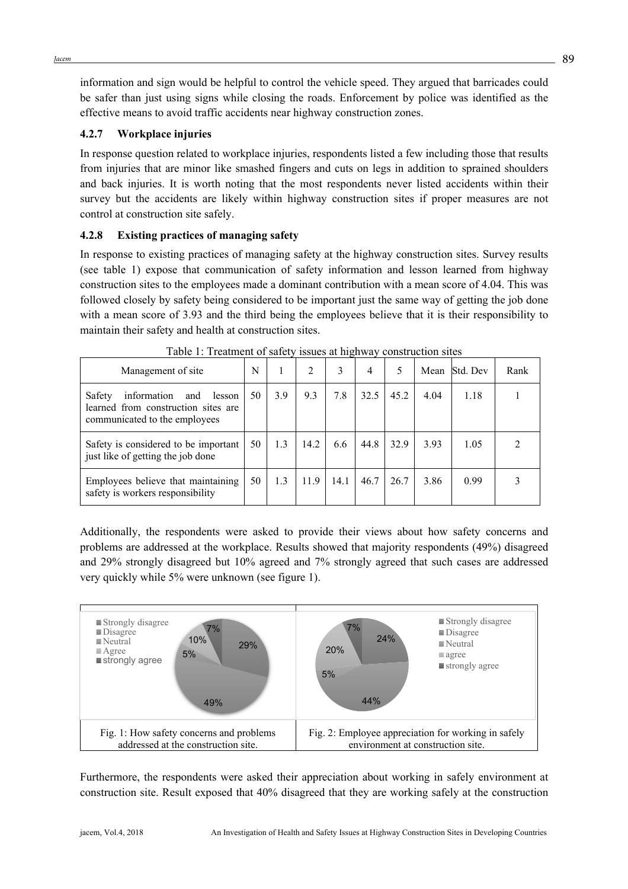information and sign would be helpful to control the vehicle speed. They argued that barricades could be safer than just using signs while closing the roads. Enforcement by police was identified as the effective means to avoid traffic accidents near highway construction zones.

## **4.2.7 Workplace injuries**

In response question related to workplace injuries, respondents listed a few including those that results from injuries that are minor like smashed fingers and cuts on legs in addition to sprained shoulders and back injuries. It is worth noting that the most respondents never listed accidents within their survey but the accidents are likely within highway construction sites if proper measures are not control at construction site safely.

# **4.2.8 Existing practices of managing safety**

In response to existing practices of managing safety at the highway construction sites. Survey results (see table 1) expose that communication of safety information and lesson learned from highway construction sites to the employees made a dominant contribution with a mean score of 4.04. This was followed closely by safety being considered to be important just the same way of getting the job done with a mean score of 3.93 and the third being the employees believe that it is their responsibility to maintain their safety and health at construction sites.

| Management of site                                                                                             | N  |     | 2    | 3    | 4    | 5    | Mean | Std. Dev | Rank |
|----------------------------------------------------------------------------------------------------------------|----|-----|------|------|------|------|------|----------|------|
| Safety<br>information<br>and<br>lesson<br>learned from construction sites are<br>communicated to the employees | 50 | 3.9 | 9.3  | 7.8  | 32.5 | 45.2 | 4.04 | 1.18     |      |
| Safety is considered to be important<br>just like of getting the job done                                      | 50 | 1.3 | 14.2 | 6.6  | 44.8 | 32.9 | 3.93 | 1.05     |      |
| Employees believe that maintaining<br>safety is workers responsibility                                         | 50 | 1.3 | 11.9 | 14.1 | 46.7 | 26.7 | 3.86 | 0.99     |      |

|  |  | Table 1: Treatment of safety issues at highway construction sites |
|--|--|-------------------------------------------------------------------|
|  |  |                                                                   |

Additionally, the respondents were asked to provide their views about how safety concerns and problems are addressed at the workplace. Results showed that majority respondents (49%) disagreed and 29% strongly disagreed but 10% agreed and 7% strongly agreed that such cases are addressed very quickly while 5% were unknown (see figure 1).



Furthermore, the respondents were asked their appreciation about working in safely environment at construction site. Result exposed that 40% disagreed that they are working safely at the construction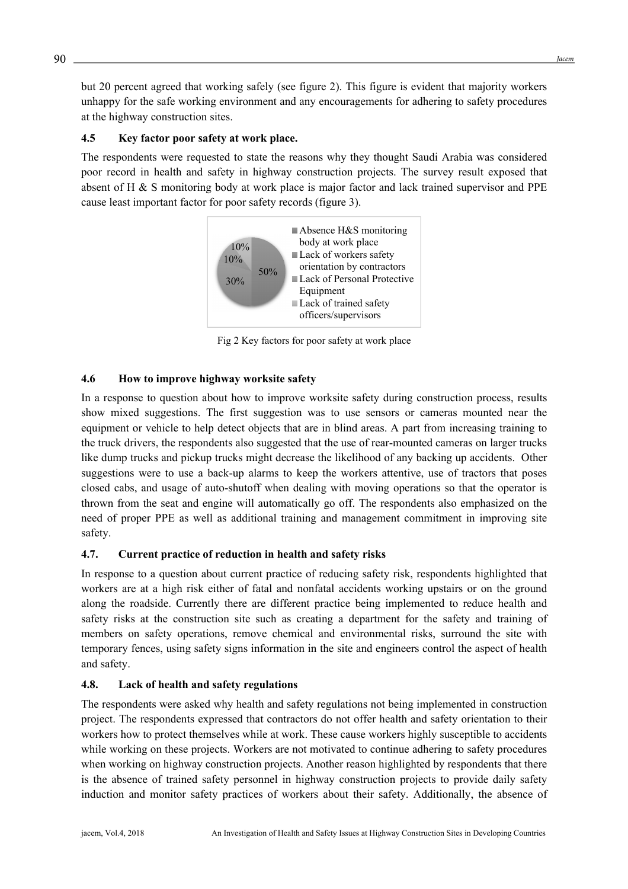but 20 percent agreed that working safely (see figure 2). This figure is evident that majority workers unhappy for the safe working environment and any encouragements for adhering to safety procedures at the highway construction sites.

#### **4.5 Key factor poor safety at work place.**

The respondents were requested to state the reasons why they thought Saudi Arabia was considered poor record in health and safety in highway construction projects. The survey result exposed that absent of H & S monitoring body at work place is major factor and lack trained supervisor and PPE cause least important factor for poor safety records (figure 3).



Fig 2 Key factors for poor safety at work place

# **4.6 How to improve highway worksite safety**

In a response to question about how to improve worksite safety during construction process, results show mixed suggestions. The first suggestion was to use sensors or cameras mounted near the equipment or vehicle to help detect objects that are in blind areas. A part from increasing training to the truck drivers, the respondents also suggested that the use of rear-mounted cameras on larger trucks like dump trucks and pickup trucks might decrease the likelihood of any backing up accidents. Other suggestions were to use a back-up alarms to keep the workers attentive, use of tractors that poses closed cabs, and usage of auto-shutoff when dealing with moving operations so that the operator is thrown from the seat and engine will automatically go off. The respondents also emphasized on the need of proper PPE as well as additional training and management commitment in improving site safety.

# **4.7. Current practice of reduction in health and safety risks**

In response to a question about current practice of reducing safety risk, respondents highlighted that workers are at a high risk either of fatal and nonfatal accidents working upstairs or on the ground along the roadside. Currently there are different practice being implemented to reduce health and safety risks at the construction site such as creating a department for the safety and training of members on safety operations, remove chemical and environmental risks, surround the site with temporary fences, using safety signs information in the site and engineers control the aspect of health and safety.

#### **4.8. Lack of health and safety regulations**

The respondents were asked why health and safety regulations not being implemented in construction project. The respondents expressed that contractors do not offer health and safety orientation to their workers how to protect themselves while at work. These cause workers highly susceptible to accidents while working on these projects. Workers are not motivated to continue adhering to safety procedures when working on highway construction projects. Another reason highlighted by respondents that there is the absence of trained safety personnel in highway construction projects to provide daily safety induction and monitor safety practices of workers about their safety. Additionally, the absence of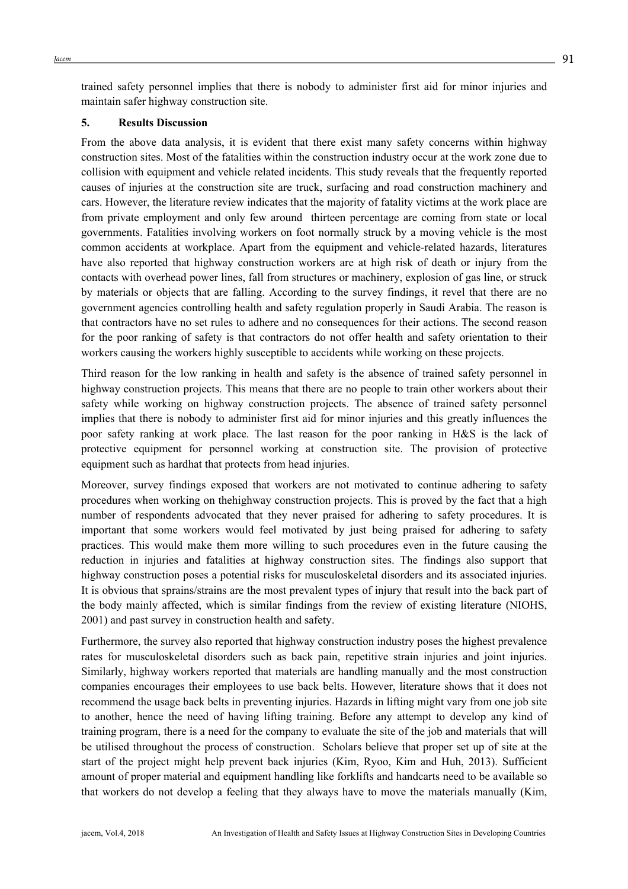trained safety personnel implies that there is nobody to administer first aid for minor injuries and maintain safer highway construction site.

#### **5. Results Discussion**

From the above data analysis, it is evident that there exist many safety concerns within highway construction sites. Most of the fatalities within the construction industry occur at the work zone due to collision with equipment and vehicle related incidents. This study reveals that the frequently reported causes of injuries at the construction site are truck, surfacing and road construction machinery and cars. However, the literature review indicates that the majority of fatality victims at the work place are from private employment and only few around thirteen percentage are coming from state or local governments. Fatalities involving workers on foot normally struck by a moving vehicle is the most common accidents at workplace. Apart from the equipment and vehicle-related hazards, literatures have also reported that highway construction workers are at high risk of death or injury from the contacts with overhead power lines, fall from structures or machinery, explosion of gas line, or struck by materials or objects that are falling. According to the survey findings, it revel that there are no government agencies controlling health and safety regulation properly in Saudi Arabia. The reason is that contractors have no set rules to adhere and no consequences for their actions. The second reason for the poor ranking of safety is that contractors do not offer health and safety orientation to their workers causing the workers highly susceptible to accidents while working on these projects.

Third reason for the low ranking in health and safety is the absence of trained safety personnel in highway construction projects. This means that there are no people to train other workers about their safety while working on highway construction projects. The absence of trained safety personnel implies that there is nobody to administer first aid for minor injuries and this greatly influences the poor safety ranking at work place. The last reason for the poor ranking in H&S is the lack of protective equipment for personnel working at construction site. The provision of protective equipment such as hardhat that protects from head injuries.

Moreover, survey findings exposed that workers are not motivated to continue adhering to safety procedures when working on thehighway construction projects. This is proved by the fact that a high number of respondents advocated that they never praised for adhering to safety procedures. It is important that some workers would feel motivated by just being praised for adhering to safety practices. This would make them more willing to such procedures even in the future causing the reduction in injuries and fatalities at highway construction sites. The findings also support that highway construction poses a potential risks for musculoskeletal disorders and its associated injuries. It is obvious that sprains/strains are the most prevalent types of injury that result into the back part of the body mainly affected, which is similar findings from the review of existing literature (NIOHS, 2001) and past survey in construction health and safety.

Furthermore, the survey also reported that highway construction industry poses the highest prevalence rates for musculoskeletal disorders such as back pain, repetitive strain injuries and joint injuries. Similarly, highway workers reported that materials are handling manually and the most construction companies encourages their employees to use back belts. However, literature shows that it does not recommend the usage back belts in preventing injuries. Hazards in lifting might vary from one job site to another, hence the need of having lifting training. Before any attempt to develop any kind of training program, there is a need for the company to evaluate the site of the job and materials that will be utilised throughout the process of construction. Scholars believe that proper set up of site at the start of the project might help prevent back injuries (Kim, Ryoo, Kim and Huh, 2013). Sufficient amount of proper material and equipment handling like forklifts and handcarts need to be available so that workers do not develop a feeling that they always have to move the materials manually (Kim,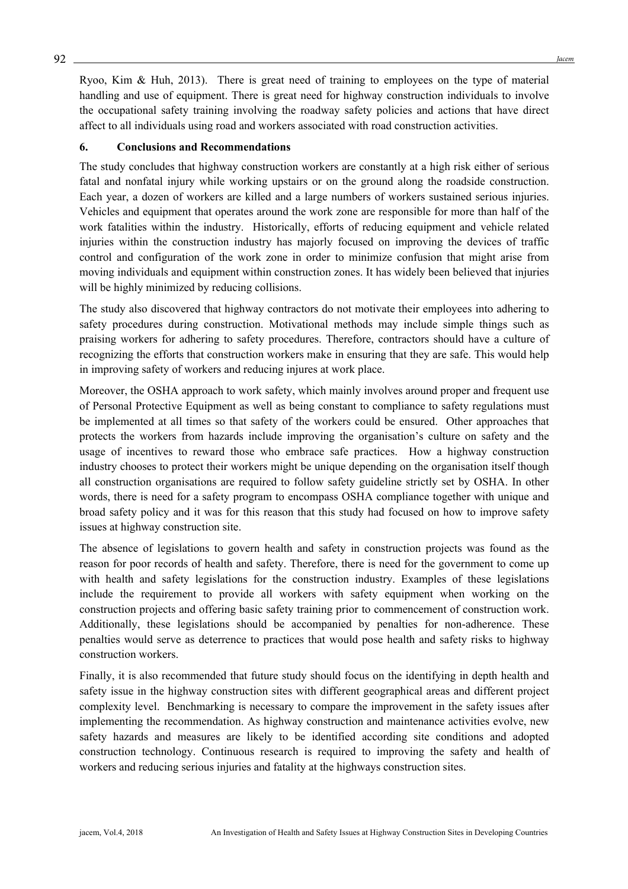Ryoo, Kim & Huh, 2013). There is great need of training to employees on the type of material handling and use of equipment. There is great need for highway construction individuals to involve the occupational safety training involving the roadway safety policies and actions that have direct affect to all individuals using road and workers associated with road construction activities.

#### **6. Conclusions and Recommendations**

The study concludes that highway construction workers are constantly at a high risk either of serious fatal and nonfatal injury while working upstairs or on the ground along the roadside construction. Each year, a dozen of workers are killed and a large numbers of workers sustained serious injuries. Vehicles and equipment that operates around the work zone are responsible for more than half of the work fatalities within the industry. Historically, efforts of reducing equipment and vehicle related injuries within the construction industry has majorly focused on improving the devices of traffic control and configuration of the work zone in order to minimize confusion that might arise from moving individuals and equipment within construction zones. It has widely been believed that injuries will be highly minimized by reducing collisions.

The study also discovered that highway contractors do not motivate their employees into adhering to safety procedures during construction. Motivational methods may include simple things such as praising workers for adhering to safety procedures. Therefore, contractors should have a culture of recognizing the efforts that construction workers make in ensuring that they are safe. This would help in improving safety of workers and reducing injures at work place.

Moreover, the OSHA approach to work safety, which mainly involves around proper and frequent use of Personal Protective Equipment as well as being constant to compliance to safety regulations must be implemented at all times so that safety of the workers could be ensured. Other approaches that protects the workers from hazards include improving the organisation's culture on safety and the usage of incentives to reward those who embrace safe practices. How a highway construction industry chooses to protect their workers might be unique depending on the organisation itself though all construction organisations are required to follow safety guideline strictly set by OSHA. In other words, there is need for a safety program to encompass OSHA compliance together with unique and broad safety policy and it was for this reason that this study had focused on how to improve safety issues at highway construction site.

The absence of legislations to govern health and safety in construction projects was found as the reason for poor records of health and safety. Therefore, there is need for the government to come up with health and safety legislations for the construction industry. Examples of these legislations include the requirement to provide all workers with safety equipment when working on the construction projects and offering basic safety training prior to commencement of construction work. Additionally, these legislations should be accompanied by penalties for non-adherence. These penalties would serve as deterrence to practices that would pose health and safety risks to highway construction workers.

Finally, it is also recommended that future study should focus on the identifying in depth health and safety issue in the highway construction sites with different geographical areas and different project complexity level. Benchmarking is necessary to compare the improvement in the safety issues after implementing the recommendation. As highway construction and maintenance activities evolve, new safety hazards and measures are likely to be identified according site conditions and adopted construction technology. Continuous research is required to improving the safety and health of workers and reducing serious injuries and fatality at the highways construction sites.